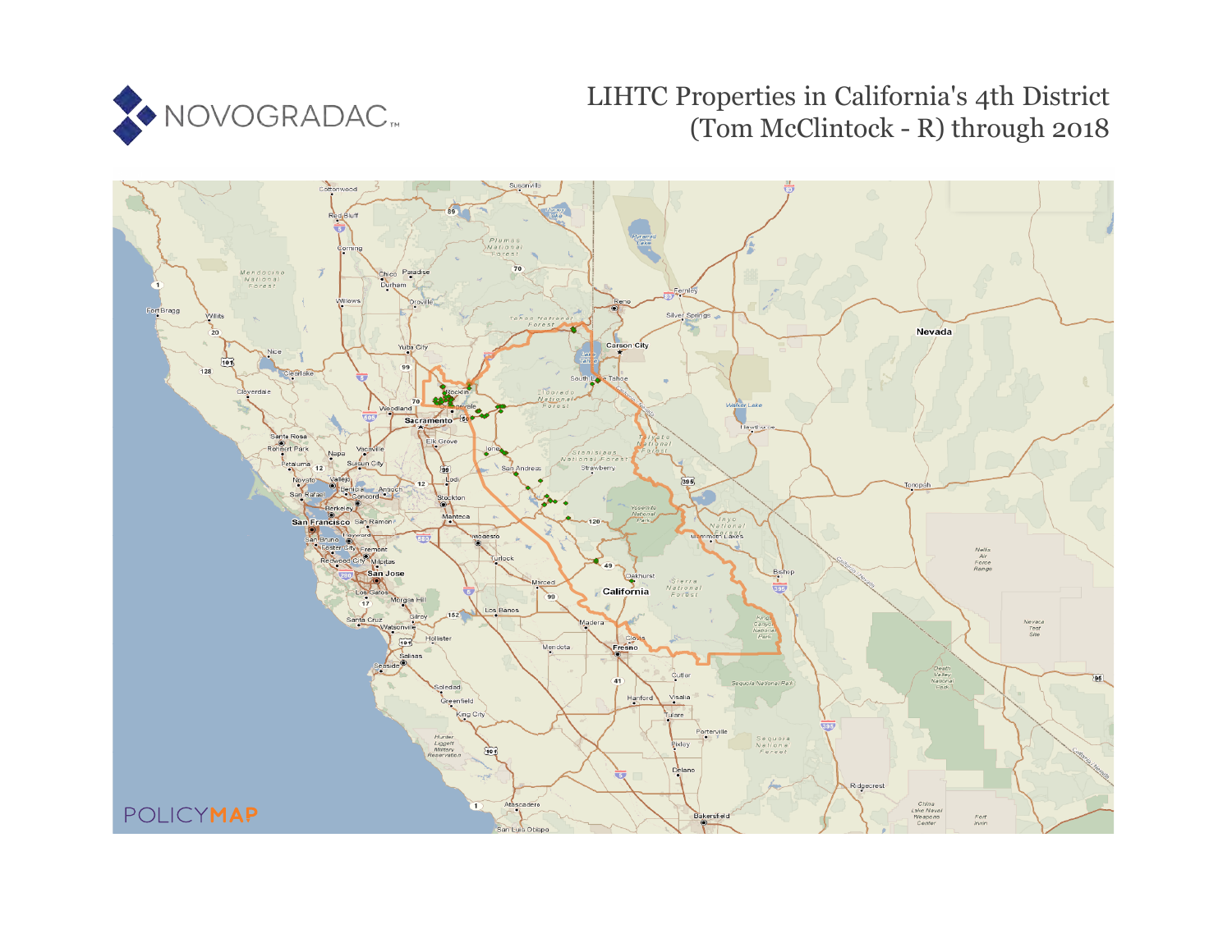

# LIHTC Properties in California's 4th District (Tom McClintock - R) through 2018

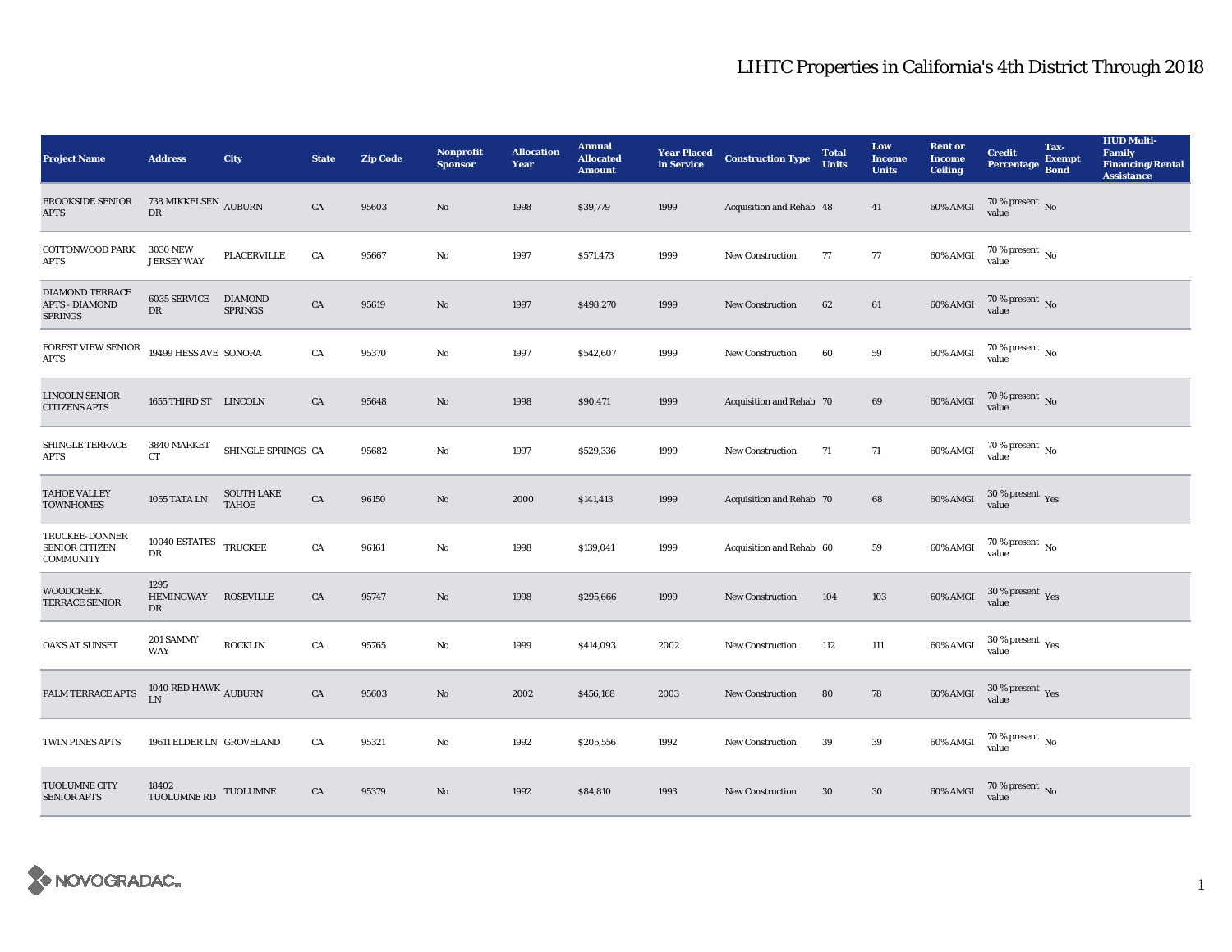| <b>Project Name</b>                                               | <b>Address</b>                             | City                              | <b>State</b> | <b>Zip Code</b> | <b>Nonprofit</b><br><b>Sponsor</b> | <b>Allocation</b><br>Year | <b>Annual</b><br><b>Allocated</b><br><b>Amount</b> |      | <b>Year Placed Construction Type</b><br>in Service | <b>Total</b><br><b>Units</b> | Low<br><b>Income</b><br><b>Units</b> | <b>Rent or</b><br><b>Income</b><br><b>Ceiling</b> | <b>Credit</b><br><b>Percentage</b>     | Tax-<br><b>Exempt</b><br><b>Bond</b> | <b>HUD Multi-</b><br>Family<br><b>Financing/Rental</b><br><b>Assistance</b> |
|-------------------------------------------------------------------|--------------------------------------------|-----------------------------------|--------------|-----------------|------------------------------------|---------------------------|----------------------------------------------------|------|----------------------------------------------------|------------------------------|--------------------------------------|---------------------------------------------------|----------------------------------------|--------------------------------------|-----------------------------------------------------------------------------|
| <b>BROOKSIDE SENIOR</b><br><b>APTS</b>                            | $738~\mathrm{MIKKELSEN}_{\ }$ AUBURN<br>DR |                                   | CA           | 95603           | $\rm No$                           | 1998                      | \$39,779                                           | 1999 | Acquisition and Rehab 48                           |                              | 41                                   | 60% AMGI                                          | 70 % present $\,$ No $\,$<br>value     |                                      |                                                                             |
| <b>COTTONWOOD PARK</b><br><b>APTS</b>                             | <b>3030 NEW</b><br><b>JERSEY WAY</b>       | PLACERVILLE                       | CA           | 95667           | $\mathbf{No}$                      | 1997                      | \$571,473                                          | 1999 | <b>New Construction</b>                            | 77                           | $77\,$                               | 60% AMGI                                          | $70$ % present $\,$ No value           |                                      |                                                                             |
| <b>DIAMOND TERRACE</b><br><b>APTS - DIAMOND</b><br><b>SPRINGS</b> | <b>6035 SERVICE</b><br>DR                  | <b>DIAMOND</b><br><b>SPRINGS</b>  | ${\rm CA}$   | 95619           | $\rm No$                           | 1997                      | \$498,270                                          | 1999 | <b>New Construction</b>                            | 62                           | 61                                   | 60% AMGI                                          | $70$ % present $\,$ No value           |                                      |                                                                             |
| FOREST VIEW SENIOR<br><b>APTS</b>                                 | 19499 HESS AVE SONORA                      |                                   | ${\rm CA}$   | 95370           | $\mathbf{N}\mathbf{o}$             | 1997                      | \$542,607                                          | 1999 | New Construction                                   | 60                           | ${\bf 59}$                           | 60% AMGI                                          | 70 % present $\,$ No $\,$<br>value     |                                      |                                                                             |
| <b>LINCOLN SENIOR</b><br><b>CITIZENS APTS</b>                     | 1655 THIRD ST LINCOLN                      |                                   | CA           | 95648           | No                                 | 1998                      | \$90,471                                           | 1999 | Acquisition and Rehab 70                           |                              | 69                                   | 60% AMGI                                          | $70\,\%$ present $\,$ No value         |                                      |                                                                             |
| SHINGLE TERRACE<br><b>APTS</b>                                    | 3840 MARKET<br>CT                          | SHINGLE SPRINGS CA                |              | 95682           | $\mathbf{No}$                      | 1997                      | \$529,336                                          | 1999 | New Construction                                   | 71                           | $71\,$                               | 60% AMGI                                          | $70\,\%$ present $\,$ No value         |                                      |                                                                             |
| <b>TAHOE VALLEY</b><br><b>TOWNHOMES</b>                           | $1055$ TATA LN                             | <b>SOUTH LAKE</b><br><b>TAHOE</b> | ${\rm CA}$   | 96150           | $\rm No$                           | 2000                      | \$141,413                                          | 1999 | Acquisition and Rehab 70                           |                              | 68                                   | 60% AMGI                                          | $30\,\%$ present $\,$ Yes value        |                                      |                                                                             |
| TRUCKEE-DONNER<br><b>SENIOR CITIZEN</b><br><b>COMMUNITY</b>       | 10040 ESTATES TRUCKEE<br>DR                |                                   | CA           | 96161           | No                                 | 1998                      | \$139,041                                          | 1999 | Acquisition and Rehab 60                           |                              | 59                                   | 60% AMGI                                          | $70\,\%$ present $_{\rm{No}}$          |                                      |                                                                             |
| <b>WOODCREEK</b><br>TERRACE SENIOR                                | 1295<br><b>HEMINGWAY</b><br>DR             | <b>ROSEVILLE</b>                  | CA           | 95747           | $\mathbf{No}$                      | 1998                      | \$295,666                                          | 1999 | <b>New Construction</b>                            | 104                          | $103\,$                              | 60% AMGI                                          | $30\,\%$ present $\,$ Yes value        |                                      |                                                                             |
| <b>OAKS AT SUNSET</b>                                             | 201 SAMMY<br><b>WAY</b>                    | <b>ROCKLIN</b>                    | CA           | 95765           | No                                 | 1999                      | \$414,093                                          | 2002 | New Construction                                   | 112                          | 111                                  | 60% AMGI                                          | $30$ % present $\,$ $\rm Yes$<br>value |                                      |                                                                             |
| PALM TERRACE APTS                                                 | 1040 RED HAWK $_{\rm AUBURN}$<br>LN        |                                   | CA           | 95603           | No                                 | 2002                      | \$456,168                                          | 2003 | <b>New Construction</b>                            | 80                           | 78                                   | 60% AMGI                                          | $30\,\%$ present $\,$ Yes value        |                                      |                                                                             |
| TWIN PINES APTS                                                   | 19611 ELDER LN GROVELAND                   |                                   | ${\rm CA}$   | 95321           | $\mathbf{N}\mathbf{o}$             | 1992                      | \$205,556                                          | 1992 | New Construction                                   | 39                           | ${\bf 39}$                           | 60% AMGI                                          | 70 % present $\,$ No $\,$<br>value     |                                      |                                                                             |
| TUOLUMNE CITY<br><b>SENIOR APTS</b>                               | 18402<br><b>TUOLUMNE RD</b>                | TUOLUMNE                          | CA           | 95379           | No                                 | 1992                      | \$84,810                                           | 1993 | <b>New Construction</b>                            | 30                           | 30                                   | 60% AMGI                                          | $70$ % present $\,$ No value           |                                      |                                                                             |

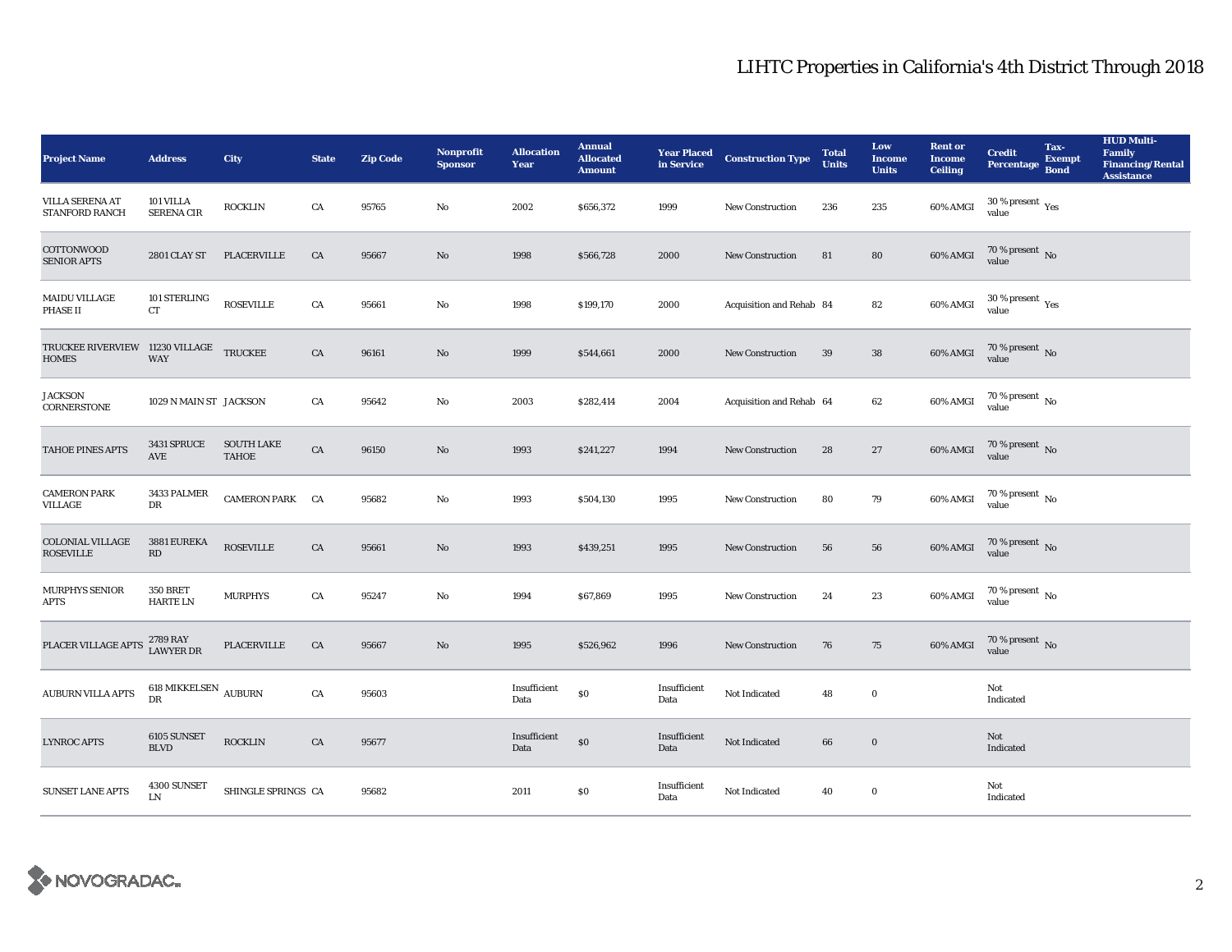| <b>Project Name</b>                                     | <b>Address</b>                        | City                              | <b>State</b> | <b>Zip Code</b> | <b>Nonprofit</b><br><b>Sponsor</b> | <b>Allocation</b><br>Year | <b>Annual</b><br><b>Allocated</b><br><b>Amount</b> |                      | <b>Year Placed Construction Type</b><br>in Service | <b>Total</b><br><b>Units</b> | Low<br><b>Income</b><br><b>Units</b> | <b>Rent</b> or<br><b>Income</b><br><b>Ceiling</b> | <b>Credit</b><br><b>Percentage</b>                   | Tax-<br>Exempt<br><b>Bond</b> | <b>HUD Multi-</b><br>Family<br><b>Financing/Rental</b><br><b>Assistance</b> |
|---------------------------------------------------------|---------------------------------------|-----------------------------------|--------------|-----------------|------------------------------------|---------------------------|----------------------------------------------------|----------------------|----------------------------------------------------|------------------------------|--------------------------------------|---------------------------------------------------|------------------------------------------------------|-------------------------------|-----------------------------------------------------------------------------|
| <b>VILLA SERENA AT</b><br>STANFORD RANCH                | 101 VILLA<br><b>SERENA CIR</b>        | <b>ROCKLIN</b>                    | CA           | 95765           | No                                 | 2002                      | \$656,372                                          | 1999                 | New Construction                                   | 236                          | 235                                  | 60% AMGI                                          | 30 % present $\rm\thinspace\gamma_{\rm es}$<br>value |                               |                                                                             |
| <b>COTTONWOOD</b><br><b>SENIOR APTS</b>                 | 2801 CLAY ST                          | PLACERVILLE                       | ${\rm CA}$   | 95667           | $\mathbf{N}\mathbf{o}$             | 1998                      | \$566,728                                          | 2000                 | New Construction                                   | 81                           | 80                                   | 60% AMGI                                          | $70$ % present $\,$ No value                         |                               |                                                                             |
| MAIDU VILLAGE<br><b>PHASE II</b>                        | 101 STERLING<br>CT                    | <b>ROSEVILLE</b>                  | ${\rm CA}$   | 95661           | $\rm No$                           | 1998                      | \$199,170                                          | 2000                 | Acquisition and Rehab 84                           |                              | 82                                   | 60% AMGI                                          | $30\,\%$ present $\,$ Yes value                      |                               |                                                                             |
| TRUCKEE RIVERVIEW 11230 VILLAGE TRUCKEE<br><b>HOMES</b> | <b>WAY</b>                            |                                   | ${\rm CA}$   | 96161           | $\rm No$                           | 1999                      | \$544,661                                          | 2000                 | New Construction                                   | 39                           | ${\bf 38}$                           | 60% AMGI                                          | $70$ % present $\,$ No value                         |                               |                                                                             |
| <b>JACKSON</b><br>CORNERSTONE                           | 1029 N MAIN ST JACKSON                |                                   | CA           | 95642           | $\mathbf{N}\mathbf{o}$             | 2003                      | \$282,414                                          | 2004                 | Acquisition and Rehab 64                           |                              | 62                                   | 60% AMGI                                          | $70$ % present $\,$ No value                         |                               |                                                                             |
| TAHOE PINES APTS                                        | 3431 SPRUCE<br>AVE                    | <b>SOUTH LAKE</b><br><b>TAHOE</b> | ${\rm CA}$   | 96150           | $\mathbf{N}\mathbf{o}$             | 1993                      | \$241,227                                          | 1994                 | <b>New Construction</b>                            | 28                           | 27                                   | 60% AMGI                                          | $70$ % present $\,$ No value                         |                               |                                                                             |
| <b>CAMERON PARK</b><br>VILLAGE                          | 3433 PALMER<br>$_{\rm DR}$            | CAMERON PARK CA                   |              | 95682           | No                                 | 1993                      | \$504,130                                          | 1995                 | New Construction                                   | 80                           | 79                                   | 60% AMGI                                          | 70 % present $\,$ No $\,$<br>value                   |                               |                                                                             |
| <b>COLONIAL VILLAGE</b><br><b>ROSEVILLE</b>             | 3881 EUREKA<br>$\mathbf{R}\mathbf{D}$ | <b>ROSEVILLE</b>                  | CA           | 95661           | $\mathbf{N}\mathbf{o}$             | 1993                      | \$439,251                                          | 1995                 | <b>New Construction</b>                            | 56                           | 56                                   | 60% AMGI                                          | $70$ % present $\,$ No value                         |                               |                                                                             |
| <b>MURPHYS SENIOR</b><br><b>APTS</b>                    | <b>350 BRET</b><br>HARTE LN           | <b>MURPHYS</b>                    | CA           | 95247           | $\rm No$                           | 1994                      | \$67,869                                           | 1995                 | <b>New Construction</b>                            | 24                           | 23                                   | 60% AMGI                                          | $70\,\%$ present $\,$ No value                       |                               |                                                                             |
| PLACER VILLAGE APTS                                     | 2789 RAY<br><b>LAWYER DR</b>          | PLACERVILLE                       | ${\rm CA}$   | 95667           | $\rm No$                           | 1995                      | \$526,962                                          | 1996                 | <b>New Construction</b>                            | 76                           | 75                                   | 60% AMGI                                          | $70\,\%$ present $\,$ No value                       |                               |                                                                             |
| AUBURN VILLA APTS                                       | 618 MIKKELSEN $\,$ AUBURN $\,$<br>DR  |                                   | ${\rm CA}$   | 95603           |                                    | Insufficient<br>Data      | $\$0$                                              | Insufficient<br>Data | Not Indicated                                      | 48                           | $\bf{0}$                             |                                                   | Not<br>Indicated                                     |                               |                                                                             |
| <b>LYNROC APTS</b>                                      | 6105 SUNSET<br><b>BLVD</b>            | <b>ROCKLIN</b>                    | CA           | 95677           |                                    | Insufficient<br>Data      | $\$0$                                              | Insufficient<br>Data | Not Indicated                                      | 66                           | $\mathbf 0$                          |                                                   | Not<br>Indicated                                     |                               |                                                                             |
| <b>SUNSET LANE APTS</b>                                 | 4300 SUNSET<br>I.N                    | SHINGLE SPRINGS CA                |              | 95682           |                                    | 2011                      | $\$0$                                              | Insufficient<br>Data | Not Indicated                                      | 40                           | $\bf{0}$                             |                                                   | Not<br>Indicated                                     |                               |                                                                             |

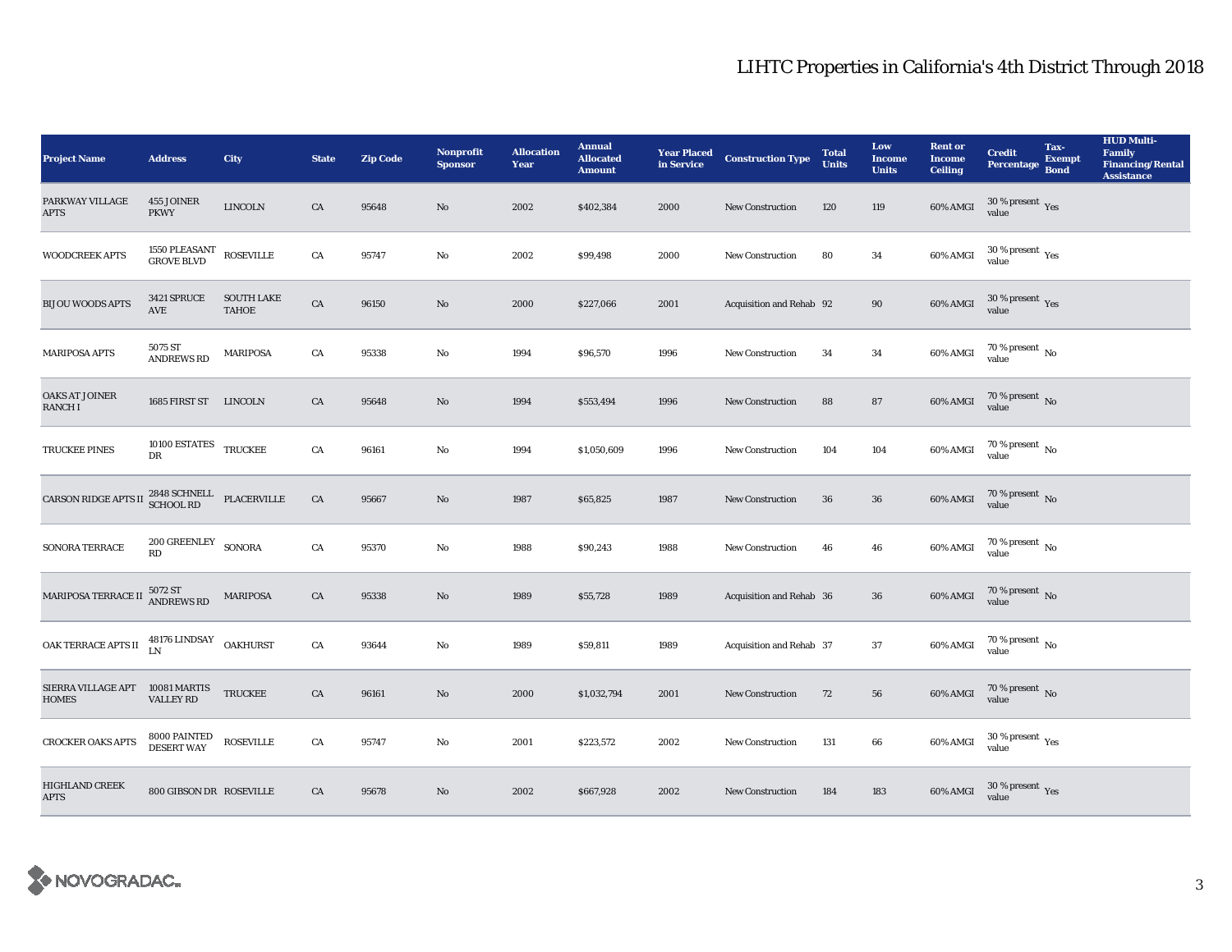| <b>Project Name</b>                             | <b>Address</b>                             | <b>City</b>                                          | <b>State</b> | <b>Zip Code</b> | Nonprofit<br><b>Sponsor</b> | <b>Allocation</b><br>Year | <b>Annual</b><br><b>Allocated</b><br><b>Amount</b> |      | <b>Year Placed Construction Type</b><br>in Service | <b>Total</b><br><b>Units</b> | Low<br><b>Income</b><br><b>Units</b> | <b>Rent or</b><br><b>Income</b><br><b>Ceiling</b> | <b>Credit</b><br><b>Percentage</b>       | Tax-<br><b>Exempt</b><br><b>Bond</b> | <b>HUD Multi-</b><br>Family<br><b>Financing/Rental</b><br><b>Assistance</b> |
|-------------------------------------------------|--------------------------------------------|------------------------------------------------------|--------------|-----------------|-----------------------------|---------------------------|----------------------------------------------------|------|----------------------------------------------------|------------------------------|--------------------------------------|---------------------------------------------------|------------------------------------------|--------------------------------------|-----------------------------------------------------------------------------|
| PARKWAY VILLAGE<br><b>APTS</b>                  | 455 JOINER<br><b>PKWY</b>                  | <b>LINCOLN</b>                                       | ${\rm CA}$   | 95648           | No                          | 2002                      | \$402,384                                          | 2000 | New Construction                                   | 120                          | 119                                  | 60% AMGI                                          | $30\,\%$ present $\,$ Yes value          |                                      |                                                                             |
| WOODCREEK APTS                                  | 1550 PLEASANT<br>GROVE BLVD                | <b>ROSEVILLE</b>                                     | ${\rm CA}$   | 95747           | $\mathbf{No}$               | 2002                      | \$99,498                                           | 2000 | <b>New Construction</b>                            | 80                           | $\bf{34}$                            | 60% AMGI                                          | $30\ \%$ present $\ _{\mbox{Yes}}$ value |                                      |                                                                             |
| <b>BIJOU WOODS APTS</b>                         | 3421 SPRUCE<br><b>AVE</b>                  | <b>SOUTH LAKE</b><br><b>TAHOE</b>                    | ${\rm CA}$   | 96150           | $\rm No$                    | 2000                      | \$227,066                                          | 2001 | Acquisition and Rehab 92                           |                              | 90                                   | 60% AMGI                                          | $30\,\%$ present $\,$ Yes value          |                                      |                                                                             |
| <b>MARIPOSA APTS</b>                            | 5075 ST<br><b>ANDREWS RD</b>               | <b>MARIPOSA</b>                                      | CA           | 95338           | $\mathbf{N}\mathbf{o}$      | 1994                      | \$96,570                                           | 1996 | <b>New Construction</b>                            | 34                           | $\bf{34}$                            | 60% AMGI                                          | 70 % present $\,$ No $\,$<br>value       |                                      |                                                                             |
| OAKS AT JOINER<br><b>RANCHI</b>                 | 1685 FIRST ST LINCOLN                      |                                                      | CA           | 95648           | No                          | 1994                      | \$553,494                                          | 1996 | New Construction                                   | 88                           | 87                                   | 60% AMGI                                          | $70$ % present $\,$ No value             |                                      |                                                                             |
| <b>TRUCKEE PINES</b>                            | 10100 ESTATES TRUCKEE<br>DR                |                                                      | ${\rm CA}$   | 96161           | $\rm No$                    | 1994                      | \$1,050,609                                        | 1996 | <b>New Construction</b>                            | 104                          | 104                                  | 60% AMGI                                          | $70\,\%$ present $\,$ No value           |                                      |                                                                             |
| CARSON RIDGE APTS II                            | 2848 SCHNELL<br>SCHOOL RD                  | $\ensuremath{\mathsf{PL}\mathsf{AC}\mathsf{ERVILL}}$ | ${\rm CA}$   | 95667           | $\rm No$                    | 1987                      | \$65,825                                           | 1987 | New Construction                                   | 36                           | 36                                   | 60% AMGI                                          | $70$ % present $_{\rm{No}}$              |                                      |                                                                             |
| SONORA TERRACE                                  | $200$ GREENLEY $\_$ SONORA<br>RD           |                                                      | ${\rm CA}$   | 95370           | $\mathbf{N}\mathbf{o}$      | 1988                      | \$90,243                                           | 1988 | New Construction                                   | 46                           | 46                                   | 60% AMGI                                          | $70\,\%$ present $\,$ No value           |                                      |                                                                             |
| MARIPOSA TERRACE II                             | 5072 ST<br>ANDREWS RD                      | <b>MARIPOSA</b>                                      | CA           | 95338           | No                          | 1989                      | \$55,728                                           | 1989 | Acquisition and Rehab 36                           |                              | 36                                   | 60% AMGI                                          | $70\,\%$ present $\,$ No value           |                                      |                                                                             |
| OAK TERRACE APTS II                             | $48176$ LINDSAY $\hfill \textsf{OAKHURST}$ |                                                      | CA           | 93644           | $\rm No$                    | 1989                      | \$59,811                                           | 1989 | Acquisition and Rehab 37                           |                              | $\bf 37$                             | 60% AMGI                                          | $70\,\%$ present $\,$ No value           |                                      |                                                                             |
| SIERRA VILLAGE APT 10081 MARTIS<br><b>HOMES</b> | VALLEY RD                                  | <b>TRUCKEE</b>                                       | ${\rm CA}$   | 96161           | No                          | 2000                      | \$1,032,794                                        | 2001 | New Construction                                   | 72                           | 56                                   | 60% AMGI                                          | $70\,\%$ present $\,$ No value           |                                      |                                                                             |
| CROCKER OAKS APTS                               | 8000 PAINTED<br>DESERT WAY                 | <b>ROSEVILLE</b>                                     | ${\rm CA}$   | 95747           | No                          | 2001                      | \$223,572                                          | 2002 | New Construction                                   | 131                          | 66                                   | 60% AMGI                                          | $30\,\%$ present $\,$ Yes value          |                                      |                                                                             |
| <b>HIGHLAND CREEK</b><br><b>APTS</b>            | 800 GIBSON DR ROSEVILLE                    |                                                      | CA           | 95678           | $\rm No$                    | 2002                      | \$667,928                                          | 2002 | <b>New Construction</b>                            | 184                          | 183                                  | 60% AMGI                                          | $30\,\%$ present $\,$ Yes value          |                                      |                                                                             |

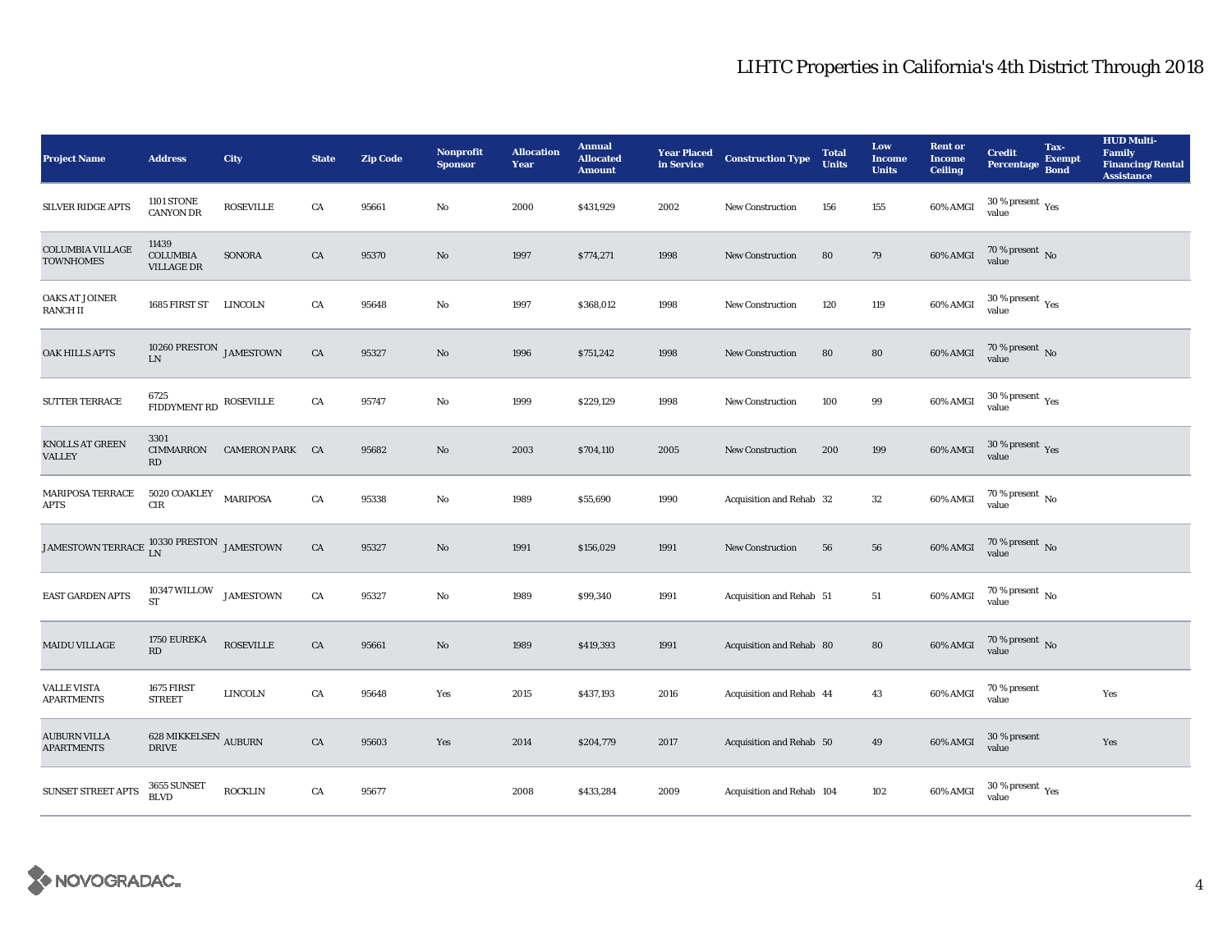| <b>Project Name</b>                                            | <b>Address</b>                                          | City                   | <b>State</b> | <b>Zip Code</b> | Nonprofit<br><b>Sponsor</b> | <b>Allocation</b><br>Year | <b>Annual</b><br><b>Allocated</b><br><b>Amount</b> | <b>Year Placed<br/>in Service</b> | <b>Construction Type</b>  | <b>Total</b><br><b>Units</b> | Low<br><b>Income</b><br><b>Units</b> | <b>Rent or</b><br><b>Income</b><br><b>Ceiling</b> | <b>Credit</b><br><b>Percentage</b>                    | Tax-<br><b>Exempt</b><br><b>Bond</b> | <b>HUD Multi-</b><br>Family<br><b>Financing/Rental</b><br><b>Assistance</b> |
|----------------------------------------------------------------|---------------------------------------------------------|------------------------|--------------|-----------------|-----------------------------|---------------------------|----------------------------------------------------|-----------------------------------|---------------------------|------------------------------|--------------------------------------|---------------------------------------------------|-------------------------------------------------------|--------------------------------------|-----------------------------------------------------------------------------|
| <b>SILVER RIDGE APTS</b>                                       | <b>1101 STONE</b><br><b>CANYON DR</b>                   | <b>ROSEVILLE</b>       | CA           | 95661           | No                          | 2000                      | \$431,929                                          | 2002                              | New Construction          | 156                          | 155                                  | 60% AMGI                                          | 30 % present $\rm\thinspace\gamma_{\rm e s}$<br>value |                                      |                                                                             |
| <b>COLUMBIA VILLAGE</b><br><b>TOWNHOMES</b>                    | 11439<br><b>COLUMBIA</b><br><b>VILLAGE DR</b>           | SONORA                 | ${\rm CA}$   | 95370           | $\mathbf{N}\mathbf{o}$      | 1997                      | \$774,271                                          | 1998                              | New Construction          | 80                           | 79                                   | $60\%$ AMGI                                       | $70\,\%$ present $\,$ No value                        |                                      |                                                                             |
| <b>OAKS AT JOINER</b><br><b>RANCHII</b>                        | 1685 FIRST ST                                           | LINCOLN                | ${\rm CA}$   | 95648           | No                          | 1997                      | \$368,012                                          | 1998                              | <b>New Construction</b>   | 120                          | 119                                  | 60% AMGI                                          | $30\,\%$ present $\,\mathrm{Yes}$ value               |                                      |                                                                             |
| OAK HILLS APTS                                                 | 10260 PRESTON $_{\rm JAMESTOWN}$<br><b>LN</b>           |                        | ${\rm CA}$   | 95327           | $\mathbf{N}\mathbf{o}$      | 1996                      | \$751,242                                          | 1998                              | <b>New Construction</b>   | 80                           | ${\bf 80}$                           | 60% AMGI                                          | $70$ % present $\,$ No value                          |                                      |                                                                             |
| SUTTER TERRACE                                                 | 6725<br>${\large \bf FIDDYMENT\,RD \quad \, ROSEVILLE}$ |                        | ${\rm CA}$   | 95747           | No                          | 1999                      | \$229,129                                          | 1998                              | New Construction          | 100                          | 99                                   | 60% AMGI                                          | $30\,\%$ present $\,\mathrm{Yes}$ value               |                                      |                                                                             |
| KNOLLS AT GREEN<br><b>VALLEY</b>                               | 3301<br>CIMMARRON<br>RD                                 | <b>CAMERON PARK CA</b> |              | 95682           | No                          | 2003                      | \$704,110                                          | 2005                              | <b>New Construction</b>   | 200                          | 199                                  | 60% AMGI                                          | $30\,\%$ present $\,$ Yes value                       |                                      |                                                                             |
| <b>MARIPOSA TERRACE</b><br><b>APTS</b>                         | 5020 COAKLEY<br><b>CIR</b>                              | <b>MARIPOSA</b>        | CA           | 95338           | No                          | 1989                      | \$55,690                                           | 1990                              | Acquisition and Rehab 32  |                              | $32\phantom{.0}$                     | 60% AMGI                                          | $70\,\%$ present $\,$ No value                        |                                      |                                                                             |
| JAMESTOWN TERRACE $_{\rm LN}^{10330 \rm \, PRESTON}$ JAMESTOWN |                                                         |                        | ${\rm CA}$   | 95327           | No                          | 1991                      | \$156,029                                          | 1991                              | New Construction          | 56                           | ${\bf 56}$                           | 60% AMGI                                          | $70$ % present $\,$ No $\,$ value                     |                                      |                                                                             |
| <b>EAST GARDEN APTS</b>                                        | 10347 WILLOW JAMESTOWN<br><b>ST</b>                     |                        | CA           | 95327           | No                          | 1989                      | \$99,340                                           | 1991                              | Acquisition and Rehab 51  |                              | 51                                   | 60% AMGI                                          | $70\,\%$ present $\,$ No value                        |                                      |                                                                             |
| <b>MAIDU VILLAGE</b>                                           | 1750 EUREKA<br>RD                                       | <b>ROSEVILLE</b>       | ${\rm CA}$   | 95661           | No                          | 1989                      | \$419,393                                          | 1991                              | Acquisition and Rehab 80  |                              | 80                                   | 60% AMGI                                          | $70\,\%$ present $\,$ No value                        |                                      |                                                                             |
| <b>VALLE VISTA</b><br><b>APARTMENTS</b>                        | 1675 FIRST<br><b>STREET</b>                             | <b>LINCOLN</b>         | ${\rm CA}$   | 95648           | Yes                         | 2015                      | \$437,193                                          | 2016                              | Acquisition and Rehab 44  |                              | 43                                   | 60% AMGI                                          | 70 % present<br>value                                 |                                      | Yes                                                                         |
| <b>AUBURN VILLA</b><br><b>APARTMENTS</b>                       | 628 MIKKELSEN $_{\rm AUBURN}$<br><b>DRIVE</b>           |                        | CA           | 95603           | Yes                         | 2014                      | \$204,779                                          | 2017                              | Acquisition and Rehab 50  |                              | 49                                   | 60% AMGI                                          | 30 % present<br>value                                 |                                      | Yes                                                                         |
| <b>SUNSET STREET APTS</b>                                      | 3655 SUNSET<br><b>BLVD</b>                              | <b>ROCKLIN</b>         | ${\rm CA}$   | 95677           |                             | 2008                      | \$433,284                                          | 2009                              | Acquisition and Rehab 104 |                              | 102                                  | 60% AMGI                                          | $30\,\%$ present $\,\mathrm{Yes}$ value               |                                      |                                                                             |

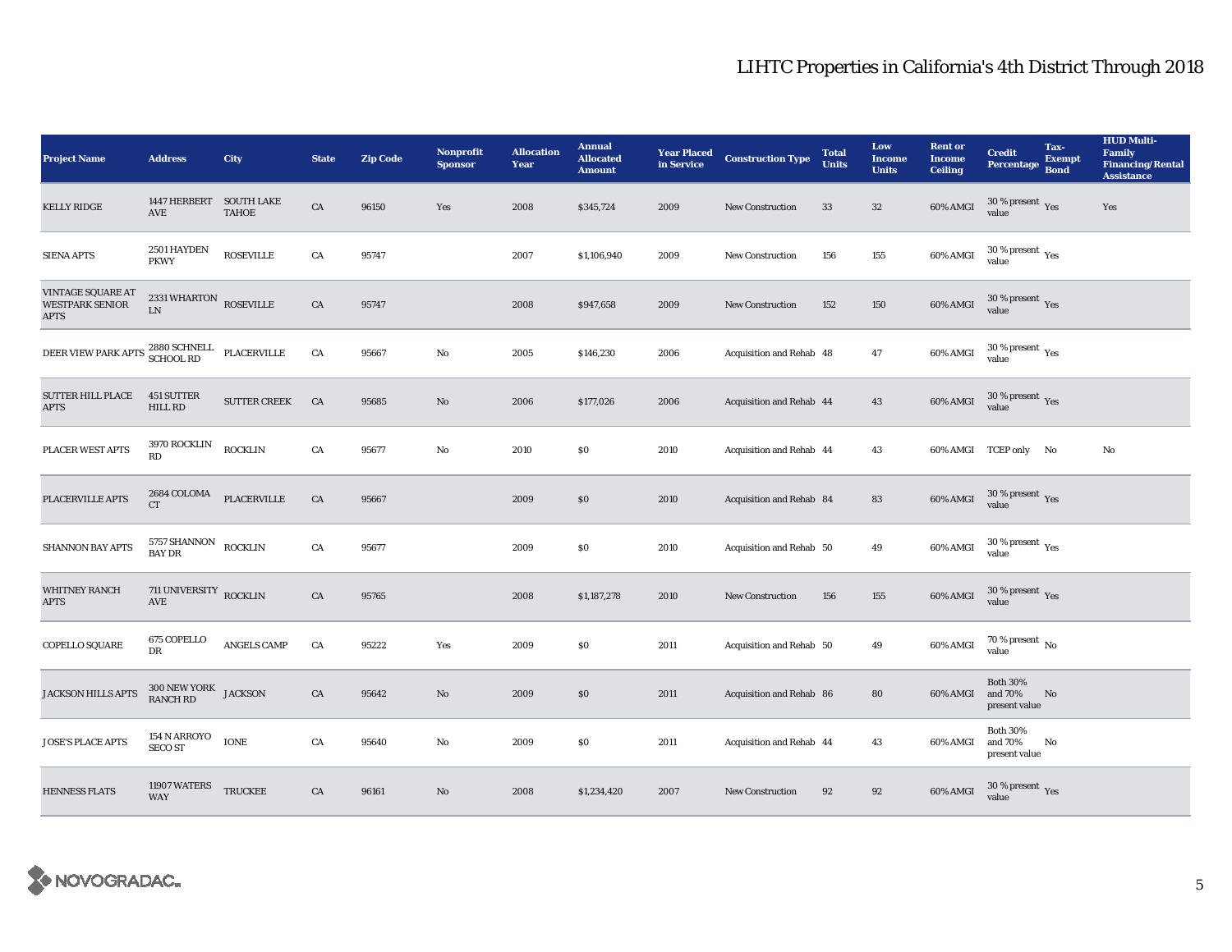| <b>Project Name</b>                                        | <b>Address</b>                       | <b>City</b>         | <b>State</b> | <b>Zip Code</b> | <b>Nonprofit</b><br><b>Sponsor</b> | <b>Allocation</b><br>Year | <b>Annual</b><br><b>Allocated</b><br><b>Amount</b> | <b>Year Placed<br/>in Service</b> | <b>Construction Type</b> | <b>Total</b><br><b>Units</b> | Low<br><b>Income</b><br><b>Units</b> | <b>Rent or</b><br><b>Income</b><br><b>Ceiling</b> | <b>Credit</b><br><b>Percentage</b>                    | Tax-<br><b>Exempt</b><br><b>Bond</b> | <b>HUD Multi-</b><br><b>Family</b><br><b>Financing/Rental</b><br><b>Assistance</b> |
|------------------------------------------------------------|--------------------------------------|---------------------|--------------|-----------------|------------------------------------|---------------------------|----------------------------------------------------|-----------------------------------|--------------------------|------------------------------|--------------------------------------|---------------------------------------------------|-------------------------------------------------------|--------------------------------------|------------------------------------------------------------------------------------|
| <b>KELLY RIDGE</b>                                         | 1447 HERBERT SOUTH LAKE<br>AVE       | <b>TAHOE</b>        | ${\rm CA}$   | 96150           | Yes                                | 2008                      | \$345,724                                          | 2009                              | New Construction         | 33                           | $32\,$                               | 60% AMGI                                          | $30\%$ present Yes<br>value                           |                                      | Yes                                                                                |
| <b>SIENA APTS</b>                                          | 2501 HAYDEN<br><b>PKWY</b>           | <b>ROSEVILLE</b>    | CA           | 95747           |                                    | 2007                      | \$1,106,940                                        | 2009                              | <b>New Construction</b>  | 156                          | 155                                  | 60% AMGI                                          | $30\ \%$ present $\ _{\mbox{Yes}}$ value              |                                      |                                                                                    |
| VINTAGE SQUARE AT<br><b>WESTPARK SENIOR</b><br><b>APTS</b> | 2331 WHARTON ROSEVILLE<br>${\rm LN}$ |                     | CA           | 95747           |                                    | 2008                      | \$947,658                                          | 2009                              | <b>New Construction</b>  | 152                          | 150                                  | 60% AMGI                                          | $30\,\%$ present $\,$ Yes value                       |                                      |                                                                                    |
| DEER VIEW PARK APTS 2880 SCHNELL<br>SCHOOL RD              |                                      | PLACERVILLE         | CA           | 95667           | No                                 | 2005                      | \$146,230                                          | 2006                              | Acquisition and Rehab 48 |                              | 47                                   | 60% AMGI                                          | $30\,\%$ present $\,$ Yes value                       |                                      |                                                                                    |
| <b>SUTTER HILL PLACE</b><br><b>APTS</b>                    | 451 SUTTER<br>HILL RD                | <b>SUTTER CREEK</b> | CA           | 95685           | No                                 | 2006                      | \$177,026                                          | 2006                              | Acquisition and Rehab 44 |                              | 43                                   | 60% AMGI                                          | $30\,\%$ present $\,\mathrm{Yes}$ value               |                                      |                                                                                    |
| PLACER WEST APTS                                           | <b>3970 ROCKLIN</b><br>RD            | <b>ROCKLIN</b>      | ${\rm CA}$   | 95677           | No                                 | 2010                      | \$0\$                                              | 2010                              | Acquisition and Rehab 44 |                              | 43                                   |                                                   | 60% AMGI TCEP only No                                 |                                      | $\rm No$                                                                           |
| PLACERVILLE APTS                                           | 2684 COLOMA<br>CT                    | <b>PLACERVILLE</b>  | ${\rm CA}$   | 95667           |                                    | 2009                      | $\$0$                                              | 2010                              | Acquisition and Rehab 84 |                              | ${\bf 83}$                           | 60% AMGI                                          | $30\,\%$ present $\,\mathrm{Yes}$ value               |                                      |                                                                                    |
| SHANNON BAY APTS                                           | $5757$ SHANNON $$\sf ROCKLIN$$       |                     | CA           | 95677           |                                    | 2009                      | \$0\$                                              | 2010                              | Acquisition and Rehab 50 |                              | 49                                   | 60% AMGI                                          | 30 % present $\rm\thinspace\gamma_{\rm e s}$<br>value |                                      |                                                                                    |
| <b>WHITNEY RANCH</b><br><b>APTS</b>                        | 711 UNIVERSITY ROCKLIN<br>AVE        |                     | ${\rm CA}$   | 95765           |                                    | 2008                      | \$1,187,278                                        | 2010                              | New Construction         | 156                          | 155                                  | 60% AMGI                                          | $30\,\%$ present $\,$ Yes value                       |                                      |                                                                                    |
| COPELLO SQUARE                                             | 675 COPELLO<br>DR                    | <b>ANGELS CAMP</b>  | CA           | 95222           | Yes                                | 2009                      | $\$0$                                              | 2011                              | Acquisition and Rehab 50 |                              | 49                                   | 60% AMGI                                          | $70\,\%$ present $\,$ No value                        |                                      |                                                                                    |
| <b>JACKSON HILLS APTS</b>                                  | 300 NEW YORK JACKSON<br>RANCH RD     |                     | CA           | 95642           | No                                 | 2009                      | \$0                                                | 2011                              | Acquisition and Rehab 86 |                              | 80                                   | 60% AMGI                                          | <b>Both 30%</b><br>and 70%<br>present value           | No                                   |                                                                                    |
| <b>JOSE'S PLACE APTS</b>                                   | 154 N ARROYO<br><b>SECO ST</b>       | <b>IONE</b>         | CA           | 95640           | No                                 | 2009                      | $\$0$                                              | 2011                              | Acquisition and Rehab 44 |                              | 43                                   | 60% AMGI                                          | <b>Both 30%</b><br>and 70%<br>present value           | No                                   |                                                                                    |
| <b>HENNESS FLATS</b>                                       | 11907 WATERS<br><b>WAY</b>           | <b>TRUCKEE</b>      | CA           | 96161           | No                                 | 2008                      | \$1,234,420                                        | 2007                              | <b>New Construction</b>  | 92                           | 92                                   | 60% AMGI                                          | $30\,\%$ present $\,\mathrm{Yes}$ value               |                                      |                                                                                    |

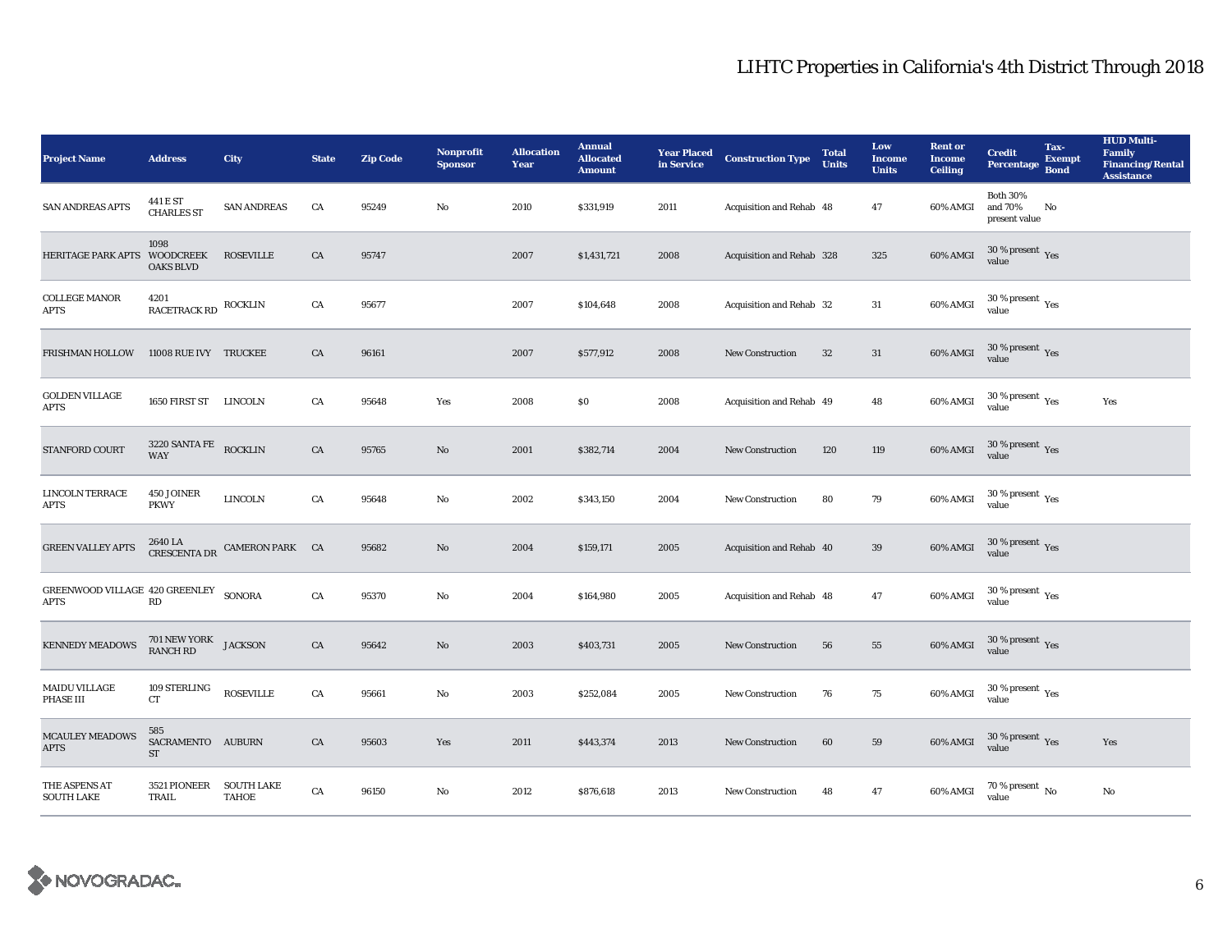| <b>Project Name</b>                                  | <b>Address</b>                                  | <b>City</b>                                                         | <b>State</b> | <b>Zip Code</b> | <b>Nonprofit</b><br><b>Sponsor</b> | <b>Allocation</b><br>Year | <b>Annual</b><br><b>Allocated</b><br><b>Amount</b> | in Service | <b>Year Placed Construction Type</b> | <b>Total</b><br><b>Units</b> | Low<br><b>Income</b><br><b>Units</b> | <b>Rent or</b><br><b>Income</b><br><b>Ceiling</b> | <b>Credit</b><br><b>Percentage</b>              | Tax-<br><b>Exempt</b><br><b>Bond</b> | <b>HUD Multi-</b><br>Family<br><b>Financing/Rental</b><br><b>Assistance</b> |
|------------------------------------------------------|-------------------------------------------------|---------------------------------------------------------------------|--------------|-----------------|------------------------------------|---------------------------|----------------------------------------------------|------------|--------------------------------------|------------------------------|--------------------------------------|---------------------------------------------------|-------------------------------------------------|--------------------------------------|-----------------------------------------------------------------------------|
| <b>SAN ANDREAS APTS</b>                              | 441 E ST<br><b>CHARLES ST</b>                   | <b>SAN ANDREAS</b>                                                  | CA           | 95249           | $\mathbf{No}$                      | 2010                      | \$331,919                                          | 2011       | Acquisition and Rehab 48             |                              | 47                                   | 60% AMGI                                          | <b>Both 30%</b><br>and 70%<br>present value     | No                                   |                                                                             |
| <b>HERITAGE PARK APTS</b>                            | 1098<br><b>WOODCREEK</b><br><b>OAKS BLVD</b>    | <b>ROSEVILLE</b>                                                    | CA           | 95747           |                                    | 2007                      | \$1,431,721                                        | 2008       | Acquisition and Rehab 328            |                              | 325                                  | 60% AMGI                                          | $30\,\%$ present $\,\mathrm{Yes}$ value         |                                      |                                                                             |
| <b>COLLEGE MANOR</b><br><b>APTS</b>                  | 4201<br>RACETRACK RD                            | <b>ROCKLIN</b>                                                      | ${\rm CA}$   | 95677           |                                    | 2007                      | \$104,648                                          | 2008       | Acquisition and Rehab 32             |                              | 31                                   | 60% AMGI                                          | $30\,\%$ present $\,$ Yes value                 |                                      |                                                                             |
| FRISHMAN HOLLOW                                      | 11008 RUE IVY TRUCKEE                           |                                                                     | CA           | 96161           |                                    | 2007                      | \$577,912                                          | 2008       | New Construction                     | $32\,$                       | 31                                   | $60\%$ AMGI                                       | $30\,\%$ present $\,$ Yes value                 |                                      |                                                                             |
| <b>GOLDEN VILLAGE</b><br><b>APTS</b>                 | 1650 FIRST ST LINCOLN                           |                                                                     | CA           | 95648           | Yes                                | 2008                      | \$0                                                | 2008       | Acquisition and Rehab 49             |                              | 48                                   | 60% AMGI                                          | $30\,\%$ present $\,$ Yes value                 |                                      | Yes                                                                         |
| STANFORD COURT                                       | $3220$ SANTA FE ROCKLIN WAY                     |                                                                     | CA           | 95765           | No                                 | 2001                      | \$382,714                                          | 2004       | <b>New Construction</b>              | 120                          | 119                                  | 60% AMGI                                          | $30\,\%$ present $\,$ Yes value                 |                                      |                                                                             |
| <b>LINCOLN TERRACE</b><br>APTS                       | 450 JOINER<br><b>PKWY</b>                       | <b>LINCOLN</b>                                                      | CA           | 95648           | No                                 | 2002                      | \$343,150                                          | 2004       | <b>New Construction</b>              | 80                           | 79                                   | 60% AMGI                                          | $30\,\%$ present $\rm\thinspace_{Yes}$<br>value |                                      |                                                                             |
| <b>GREEN VALLEY APTS</b>                             |                                                 | $2640$ LA $$\tt CAMERON\,PARK$$ $$\tt CA\,$ CA $$\tt CASCENTA\,DR$$ |              | 95682           | No                                 | 2004                      | \$159,171                                          | 2005       | Acquisition and Rehab 40             |                              | 39                                   | 60% AMGI                                          | $30\,\%$ present $\,$ Yes value                 |                                      |                                                                             |
| GREENWOOD VILLAGE 420 GREENLEY SONORA<br><b>APTS</b> | $\mathbf{R}\mathbf{D}$                          |                                                                     | ${\rm CA}$   | 95370           | No                                 | 2004                      | \$164,980                                          | 2005       | Acquisition and Rehab 48             |                              | 47                                   | 60% AMGI                                          | $30\,\%$ present $\,$ $\rm{Yes}$<br>value       |                                      |                                                                             |
| <b>KENNEDY MEADOWS</b>                               | 701 NEW YORK<br>RANCH RD JACKSON                |                                                                     | CA           | 95642           | $\mathbf{N}\mathbf{o}$             | 2003                      | \$403,731                                          | 2005       | <b>New Construction</b>              | 56                           | 55                                   | 60% AMGI                                          | $30\,\%$ present $\,\mathrm{Yes}$ value         |                                      |                                                                             |
| <b>MAIDU VILLAGE</b><br>PHASE III                    | 109 STERLING<br>CT                              | <b>ROSEVILLE</b>                                                    | ${\rm CA}$   | 95661           | No                                 | 2003                      | \$252,084                                          | 2005       | New Construction                     | 76                           | 75                                   | 60% AMGI                                          | $30\,\%$ present $\,$ $\rm{Yes}$<br>value       |                                      |                                                                             |
| MCAULEY MEADOWS<br><b>APTS</b>                       | 585<br>SACRAMENTO AUBURN<br>$\operatorname{ST}$ |                                                                     | CA           | 95603           | Yes                                | 2011                      | \$443,374                                          | 2013       | <b>New Construction</b>              | 60                           | 59                                   | 60% AMGI                                          | $30\,\%$ present $\,$ Yes value                 |                                      | Yes                                                                         |
| THE ASPENS AT<br><b>SOUTH LAKE</b>                   | 3521 PIONEER<br>TRAIL                           | <b>SOUTH LAKE</b><br><b>TAHOE</b>                                   | CA           | 96150           | No                                 | 2012                      | \$876,618                                          | 2013       | New Construction                     | 48                           | 47                                   | 60% AMGI                                          | 70 % present $\,$ No $\,$<br>value              |                                      | No                                                                          |